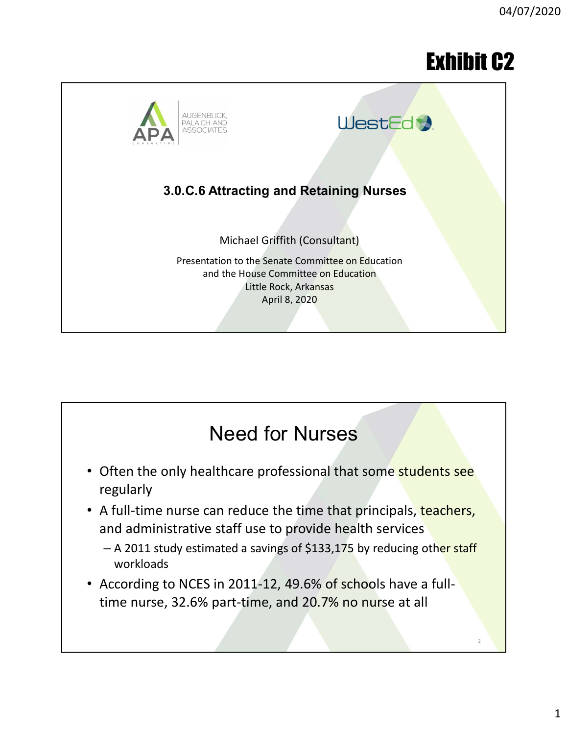# Exhibit C2



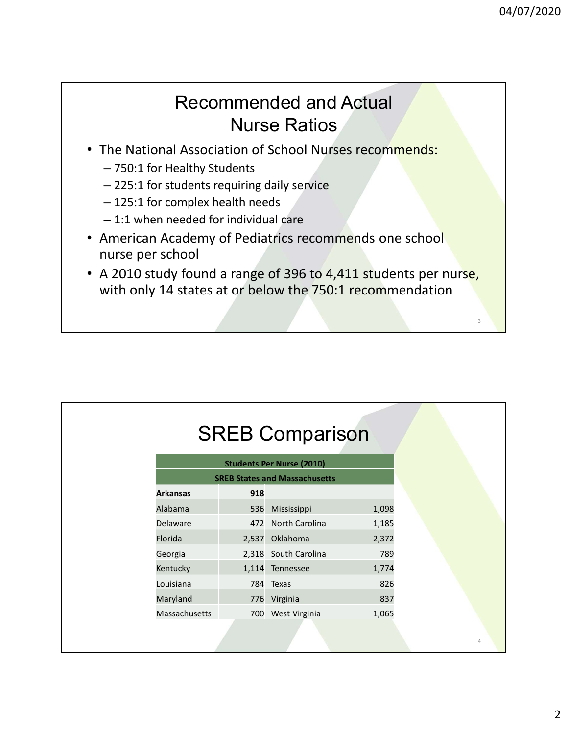### Recommended and Actual Nurse Ratios

- The National Association of School Nurses recommends:
	- 750:1 for Healthy Students
	- 225:1 for students requiring daily service
	- 125:1 for complex health needs
	- 1:1 when needed for individual care
- American Academy of Pediatrics recommends one school nurse per school
- A 2010 study found a range of 396 to 4,411 students per nurse, with only 14 states at or below the 750:1 recommendation

|                 |     | <b>SREB Comparison</b>               |       |
|-----------------|-----|--------------------------------------|-------|
|                 |     |                                      |       |
|                 |     | <b>Students Per Nurse (2010)</b>     |       |
|                 |     | <b>SREB States and Massachusetts</b> |       |
| <b>Arkansas</b> | 918 |                                      |       |
|                 |     |                                      | 1,098 |
| Alabama         |     | 536 Mississippi                      |       |
| Delaware        |     | 472 North Carolina                   | 1,185 |
| Florida         |     | 2,537 Oklahoma                       | 2,372 |
| Georgia         |     | 2,318 South Carolina                 | 789   |
| Kentucky        |     | 1,114 Tennessee                      | 1,774 |
| Louisiana       |     | 784 Texas                            | 826   |
| Maryland        |     | 776 Virginia                         | 837   |
| Massachusetts   |     | 700 West Virginia                    | 1,065 |
|                 |     |                                      |       |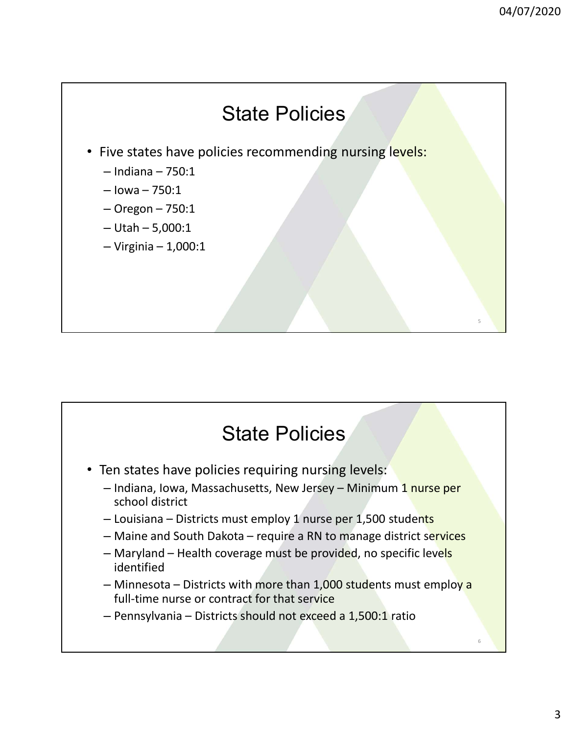

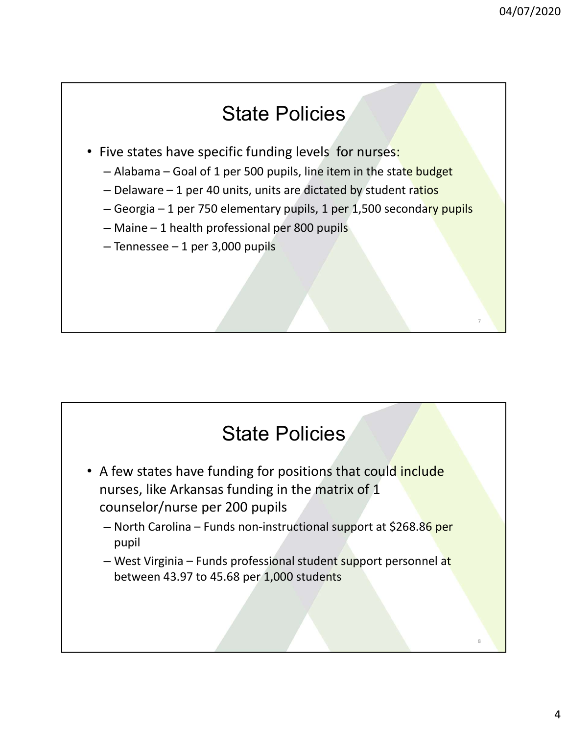- State Policies<br>• Five states have specific funding levels for nurses:
	-
	-
- 04/07/2020<br>
State Policies<br>
State Policies<br>
Sive states have specific funding levels for nurses:<br>
 Alabama Goal of 1 per 500 pupils, line item in the state budget<br>
 Delaware 1 per 40 units, units are dictated by stud
	-
	-

- State Policies<br>• A few states have funding for positions that could include nurses, like Arkansas funding in the matrix of 1 counselor/nurse per 200 pupils State Policies<br>
A few states have funding for positions that could include<br>
nurses, like Arkansas funding in the matrix of 1<br>
counselor/nurse per 200 pupils<br>
– North Carolina – Funds non-instructional support at \$268.86 pe State Policies<br>
Mate Policies<br>
Mate Virginia – Funds propositions that could include<br>
nurses, like Arkansas funding in the matrix of 1<br>
Counselor/nurse per 200 pupils<br>
— North Carolina – Funds professional student support
	- pupil
	- between 43.97 to 45.68 per 1,000 students

8

7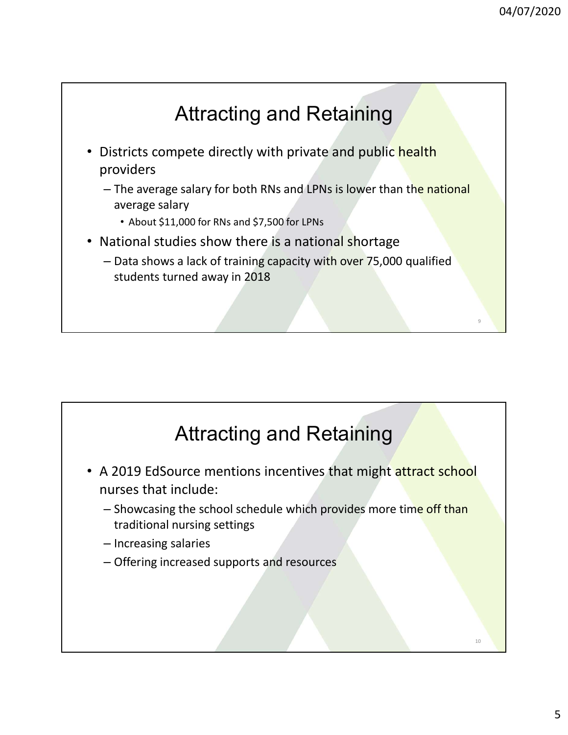

- Districts compete directly with private and public health providers
	- The average salary for both RNs and LPNs is lower than the national average salary
		- About \$11,000 for RNs and \$7,500 for LPNs
- National studies show there is a national shortage
	- Data shows a lack of training capacity with over 75,000 qualified students turned away in 2018

### Attracting and Retaining

- National studies show there is a national shortage<br>
 Data shows a lack of training capacity with over 75,000 qualified<br>
students turned away in 2018<br>
<br> **A 2019 EdSource mentions incentives that might attract school**<br>
nu nurses that include:
	- Showcasing the school schedule which provides more time off than traditional nursing settings
	- Increasing salaries
	- Offering increased supports and resources

10

9